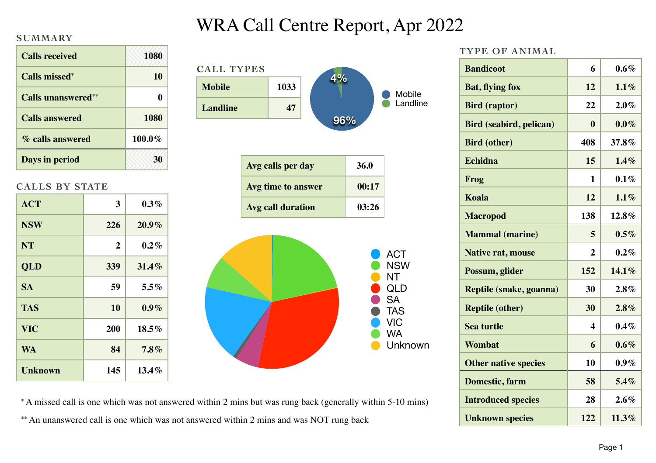#### **SUMMARY**

| <b>Calls received</b>      | <b>1080</b> |
|----------------------------|-------------|
| Calls missed <sup>*</sup>  | 10          |
| <b>Calls unanswered</b> ** | 0           |
| <b>Calls answered</b>      | 1080        |
| % calls answered           | 100.0%      |
| Days in period             |             |

### **CALLS BY STATE**

| <b>ACT</b>     | 3              | $0.3\%$  |
|----------------|----------------|----------|
| <b>NSW</b>     | 226            | 20.9%    |
| <b>NT</b>      | $\overline{2}$ | $0.2\%$  |
| QLD            | 339            | 31.4%    |
| <b>SA</b>      | 59             | $5.5\%$  |
| <b>TAS</b>     | 10             | $0.9\%$  |
| <b>VIC</b>     | <b>200</b>     | $18.5\%$ |
| <b>WA</b>      | 84             | $7.8\%$  |
| <b>Unknown</b> | 145            | $13.4\%$ |

# WRA Call Centre Report, Apr 2022



#### **TYPE OF ANIMAL**

| <b>Bandicoot</b>               | 6              | $0.6\%$  |
|--------------------------------|----------------|----------|
| <b>Bat, flying fox</b>         | 12             | $1.1\%$  |
| <b>Bird (raptor)</b>           | 22             | $2.0\%$  |
| <b>Bird (seabird, pelican)</b> | 0              | $0.0\%$  |
| <b>Bird (other)</b>            | 408            | 37.8%    |
| Echidna                        | 15             | 1.4%     |
| Frog                           | 1              | $0.1\%$  |
| Koala                          | 12             | $1.1\%$  |
| <b>Macropod</b>                | 138            | 12.8%    |
| <b>Mammal</b> (marine)         | 5              | $0.5\%$  |
| <b>Native rat, mouse</b>       | $\overline{2}$ | $0.2\%$  |
| Possum, glider                 | 152            | 14.1%    |
| Reptile (snake, goanna)        | 30             | 2.8%     |
| <b>Reptile (other)</b>         | 30             | 2.8%     |
| <b>Sea turtle</b>              | 4              | $0.4\%$  |
| Wombat                         | 6              | $0.6\%$  |
| <b>Other native species</b>    | 10             | $0.9\%$  |
| <b>Domestic, farm</b>          | 58             | 5.4%     |
| <b>Introduced species</b>      | 28             | 2.6%     |
| <b>Unknown species</b>         | 122            | $11.3\%$ |

\* A missed call is one which was not answered within 2 mins but was rung back (generally within 5-10 mins) \*\* An unanswered call is one which was not answered within 2 mins and was NOT rung back